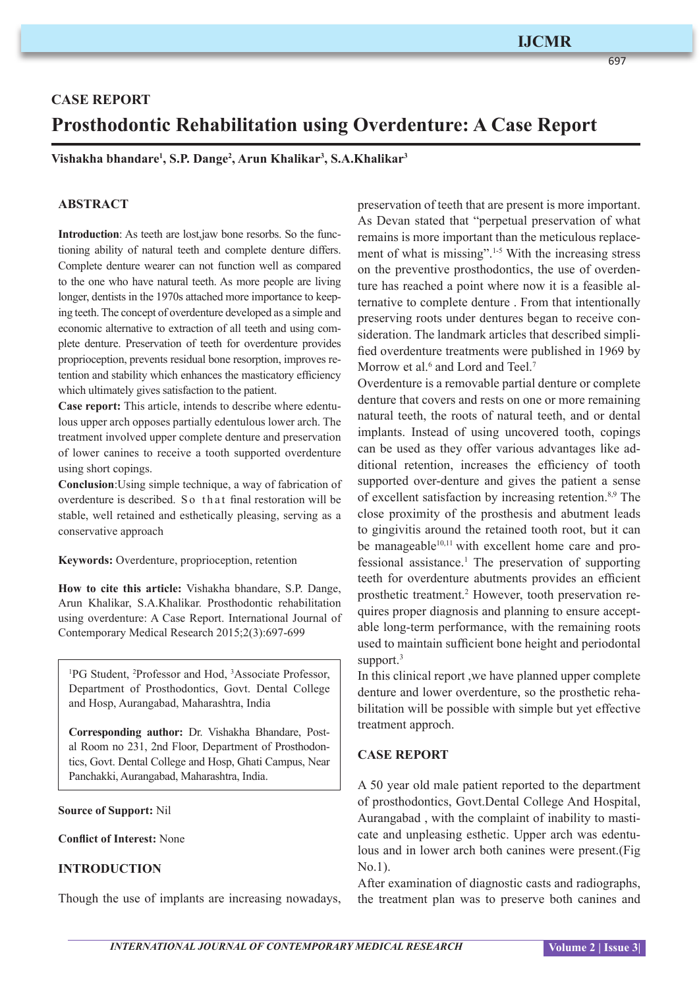# **IJCMR**

697

# **CASE REPORT Prosthodontic Rehabilitation using Overdenture: A Case Report**

**Vishakha bhandare1 , S.P. Dange2 , Arun Khalikar3 , S.A.Khalikar3**

### **ABSTRACT**

**Introduction**: As teeth are lost,jaw bone resorbs. So the functioning ability of natural teeth and complete denture differs. Complete denture wearer can not function well as compared to the one who have natural teeth. As more people are living longer, dentists in the 1970s attached more importance to keeping teeth. The concept of overdenture developed as a simple and economic alternative to extraction of all teeth and using complete denture. Preservation of teeth for overdenture provides proprioception, prevents residual bone resorption, improves retention and stability which enhances the masticatory efficiency which ultimately gives satisfaction to the patient.

**Case report:** This article, intends to describe where edentulous upper arch opposes partially edentulous lower arch. The treatment involved upper complete denture and preservation of lower canines to receive a tooth supported overdenture using short copings.

**Conclusion**:Using simple technique, a way of fabrication of overdenture is described. So that final restoration will be stable, well retained and esthetically pleasing, serving as a conservative approach

**Keywords:** Overdenture, proprioception, retention

**How to cite this article:** Vishakha bhandare, S.P. Dange, Arun Khalikar, S.A.Khalikar. Prosthodontic rehabilitation using overdenture: A Case Report. International Journal of Contemporary Medical Research 2015;2(3):697-699

1 PG Student, 2 Professor and Hod, 3 Associate Professor, Department of Prosthodontics, Govt. Dental College and Hosp, Aurangabad, Maharashtra, India

**Corresponding author:** Dr. Vishakha Bhandare, Postal Room no 231, 2nd Floor, Department of Prosthodontics, Govt. Dental College and Hosp, Ghati Campus, Near Panchakki, Aurangabad, Maharashtra, India.

#### **Source of Support:** Nil

#### **Conflict of Interest:** None

## **INTRODUCTION**

Though the use of implants are increasing nowadays,

preservation of teeth that are present is more important. As Devan stated that "perpetual preservation of what remains is more important than the meticulous replacement of what is missing".1-5 With the increasing stress on the preventive prosthodontics, the use of overdenture has reached a point where now it is a feasible alternative to complete denture . From that intentionally preserving roots under dentures began to receive consideration. The landmark articles that described simplified overdenture treatments were published in 1969 by Morrow et al.<sup>6</sup> and Lord and Teel.<sup>7</sup>

Overdenture is a removable partial denture or complete denture that covers and rests on one or more remaining natural teeth, the roots of natural teeth, and or dental implants. Instead of using uncovered tooth, copings can be used as they offer various advantages like additional retention, increases the efficiency of tooth supported over-denture and gives the patient a sense of excellent satisfaction by increasing retention.8,9 The close proximity of the prosthesis and abutment leads to gingivitis around the retained tooth root, but it can be manageable $10,11$  with excellent home care and professional assistance.1 The preservation of supporting teeth for overdenture abutments provides an efficient prosthetic treatment.<sup>2</sup> However, tooth preservation requires proper diagnosis and planning to ensure acceptable long-term performance, with the remaining roots used to maintain sufficient bone height and periodontal support.<sup>3</sup>

In this clinical report ,we have planned upper complete denture and lower overdenture, so the prosthetic rehabilitation will be possible with simple but yet effective treatment approch.

#### **CASE REPORT**

A 50 year old male patient reported to the department of prosthodontics, Govt.Dental College And Hospital, Aurangabad , with the complaint of inability to masticate and unpleasing esthetic. Upper arch was edentulous and in lower arch both canines were present.(Fig No.1).

After examination of diagnostic casts and radiographs, the treatment plan was to preserve both canines and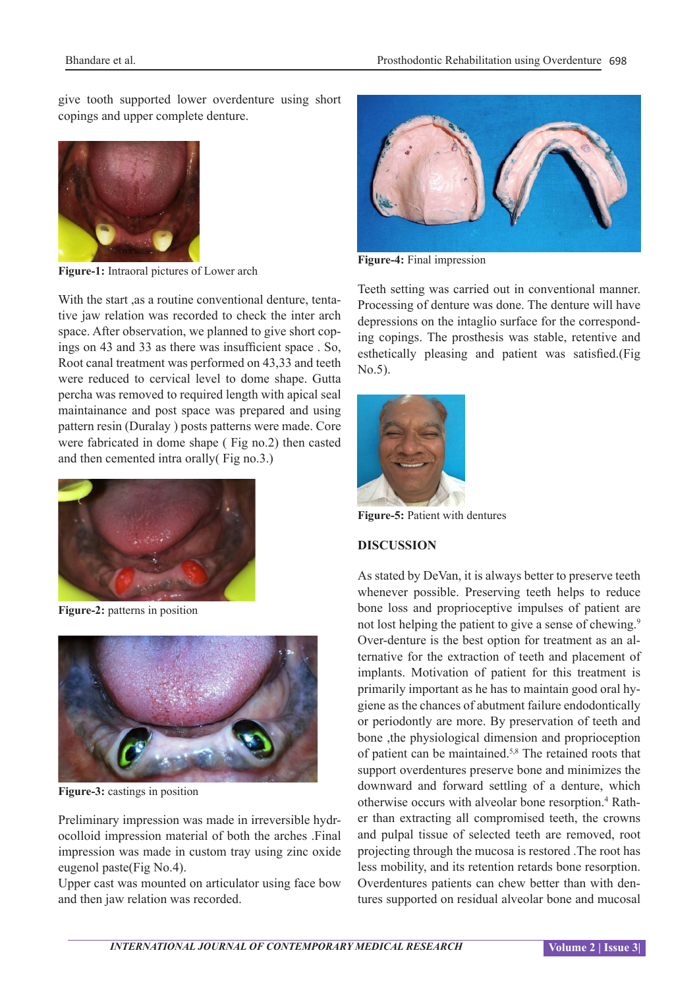give tooth supported lower overdenture using short copings and upper complete denture.



**Figure-1:** Intraoral pictures of Lower arch

With the start ,as a routine conventional denture, tentative jaw relation was recorded to check the inter arch space. After observation, we planned to give short copings on 43 and 33 as there was insufficient space . So, Root canal treatment was performed on 43,33 and teeth were reduced to cervical level to dome shape. Gutta percha was removed to required length with apical seal maintainance and post space was prepared and using pattern resin (Duralay ) posts patterns were made. Core were fabricated in dome shape ( Fig no.2) then casted and then cemented intra orally( Fig no.3.)



**Figure-2:** patterns in position



**Figure-3:** castings in position

Preliminary impression was made in irreversible hydrocolloid impression material of both the arches .Final impression was made in custom tray using zinc oxide eugenol paste(Fig No.4).

Upper cast was mounted on articulator using face bow and then jaw relation was recorded.



**Figure-4:** Final impression

Teeth setting was carried out in conventional manner. Processing of denture was done. The denture will have depressions on the intaglio surface for the corresponding copings. The prosthesis was stable, retentive and esthetically pleasing and patient was satisfied.(Fig No.5).



**Figure-5:** Patient with dentures

# **DISCUSSION**

As stated by DeVan, it is always better to preserve teeth whenever possible. Preserving teeth helps to reduce bone loss and proprioceptive impulses of patient are not lost helping the patient to give a sense of chewing.<sup>9</sup> Over-denture is the best option for treatment as an alternative for the extraction of teeth and placement of implants. Motivation of patient for this treatment is primarily important as he has to maintain good oral hygiene as the chances of abutment failure endodontically or periodontly are more. By preservation of teeth and bone ,the physiological dimension and proprioception of patient can be maintained.5,8 The retained roots that support overdentures preserve bone and minimizes the downward and forward settling of a denture, which otherwise occurs with alveolar bone resorption.<sup>4</sup> Rather than extracting all compromised teeth, the crowns and pulpal tissue of selected teeth are removed, root projecting through the mucosa is restored .The root has less mobility, and its retention retards bone resorption. Overdentures patients can chew better than with dentures supported on residual alveolar bone and mucosal